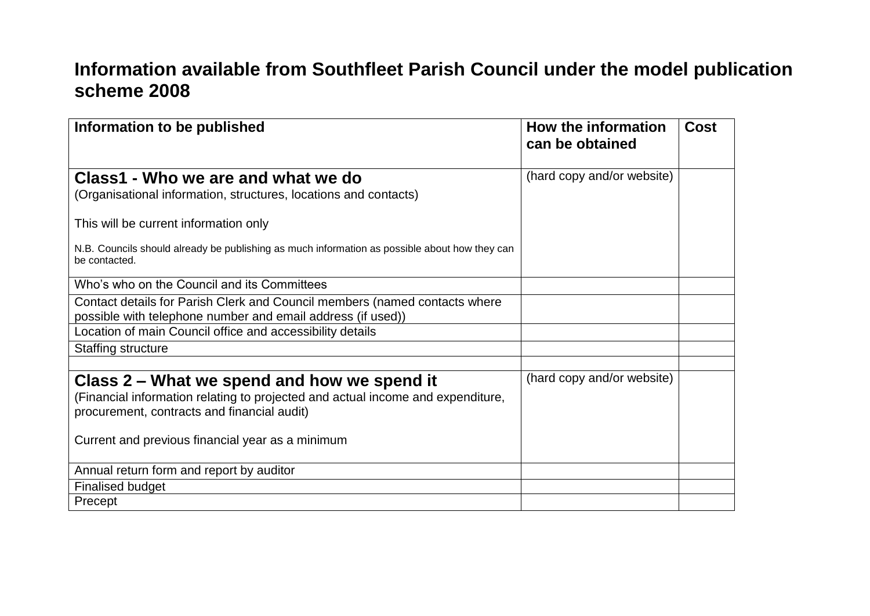## **Information available from Southfleet Parish Council under the model publication scheme 2008**

| Information to be published                                                                                                                                                   | How the information<br>can be obtained | <b>Cost</b> |
|-------------------------------------------------------------------------------------------------------------------------------------------------------------------------------|----------------------------------------|-------------|
| Class1 - Who we are and what we do<br>(Organisational information, structures, locations and contacts)                                                                        | (hard copy and/or website)             |             |
| This will be current information only                                                                                                                                         |                                        |             |
| N.B. Councils should already be publishing as much information as possible about how they can<br>be contacted.                                                                |                                        |             |
| Who's who on the Council and its Committees                                                                                                                                   |                                        |             |
| Contact details for Parish Clerk and Council members (named contacts where<br>possible with telephone number and email address (if used))                                     |                                        |             |
| Location of main Council office and accessibility details                                                                                                                     |                                        |             |
| Staffing structure                                                                                                                                                            |                                        |             |
| Class 2 – What we spend and how we spend it<br>(Financial information relating to projected and actual income and expenditure,<br>procurement, contracts and financial audit) | (hard copy and/or website)             |             |
| Current and previous financial year as a minimum                                                                                                                              |                                        |             |
| Annual return form and report by auditor                                                                                                                                      |                                        |             |
| <b>Finalised budget</b>                                                                                                                                                       |                                        |             |
| Precept                                                                                                                                                                       |                                        |             |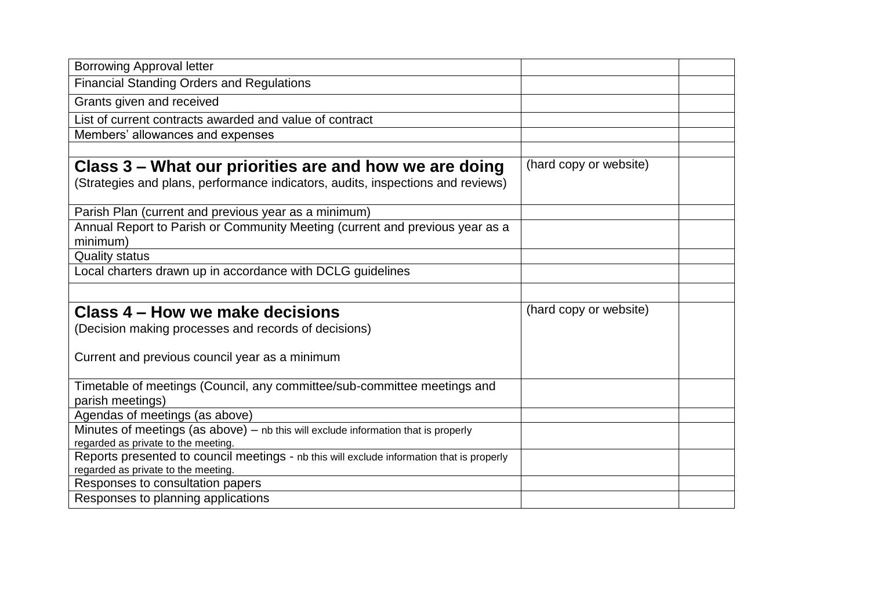| <b>Borrowing Approval letter</b>                                                                                          |                        |
|---------------------------------------------------------------------------------------------------------------------------|------------------------|
| <b>Financial Standing Orders and Regulations</b>                                                                          |                        |
| Grants given and received                                                                                                 |                        |
| List of current contracts awarded and value of contract                                                                   |                        |
| Members' allowances and expenses                                                                                          |                        |
|                                                                                                                           |                        |
| Class 3 – What our priorities are and how we are doing                                                                    | (hard copy or website) |
| (Strategies and plans, performance indicators, audits, inspections and reviews)                                           |                        |
| Parish Plan (current and previous year as a minimum)                                                                      |                        |
| Annual Report to Parish or Community Meeting (current and previous year as a<br>minimum)                                  |                        |
| <b>Quality status</b>                                                                                                     |                        |
| Local charters drawn up in accordance with DCLG guidelines                                                                |                        |
|                                                                                                                           |                        |
| Class 4 – How we make decisions                                                                                           | (hard copy or website) |
|                                                                                                                           |                        |
| (Decision making processes and records of decisions)                                                                      |                        |
|                                                                                                                           |                        |
| Current and previous council year as a minimum                                                                            |                        |
|                                                                                                                           |                        |
| Timetable of meetings (Council, any committee/sub-committee meetings and                                                  |                        |
| parish meetings)                                                                                                          |                        |
| Agendas of meetings (as above)                                                                                            |                        |
| Minutes of meetings (as above) - nb this will exclude information that is properly<br>regarded as private to the meeting. |                        |
| Reports presented to council meetings - nb this will exclude information that is properly                                 |                        |
| regarded as private to the meeting.                                                                                       |                        |
| Responses to consultation papers<br>Responses to planning applications                                                    |                        |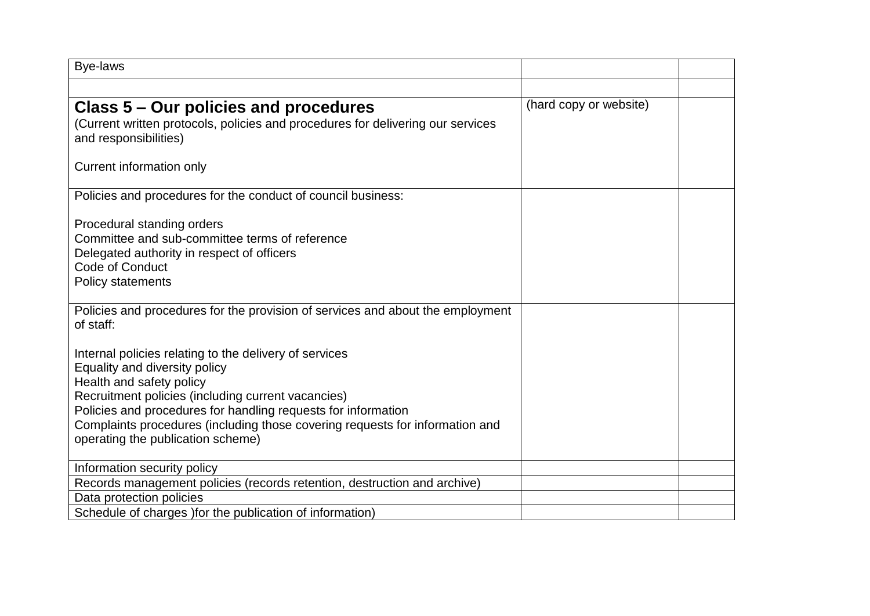| Bye-laws                                                                                                          |                        |  |
|-------------------------------------------------------------------------------------------------------------------|------------------------|--|
|                                                                                                                   |                        |  |
| Class 5 – Our policies and procedures                                                                             | (hard copy or website) |  |
| (Current written protocols, policies and procedures for delivering our services                                   |                        |  |
| and responsibilities)                                                                                             |                        |  |
| Current information only                                                                                          |                        |  |
| Policies and procedures for the conduct of council business:                                                      |                        |  |
| Procedural standing orders                                                                                        |                        |  |
| Committee and sub-committee terms of reference                                                                    |                        |  |
| Delegated authority in respect of officers                                                                        |                        |  |
| <b>Code of Conduct</b>                                                                                            |                        |  |
| <b>Policy statements</b>                                                                                          |                        |  |
| Policies and procedures for the provision of services and about the employment<br>of staff:                       |                        |  |
| Internal policies relating to the delivery of services                                                            |                        |  |
| Equality and diversity policy                                                                                     |                        |  |
| Health and safety policy                                                                                          |                        |  |
| Recruitment policies (including current vacancies)                                                                |                        |  |
| Policies and procedures for handling requests for information                                                     |                        |  |
| Complaints procedures (including those covering requests for information and<br>operating the publication scheme) |                        |  |
|                                                                                                                   |                        |  |
| Information security policy                                                                                       |                        |  |
| Records management policies (records retention, destruction and archive)                                          |                        |  |
| Data protection policies                                                                                          |                        |  |
| Schedule of charges ) for the publication of information)                                                         |                        |  |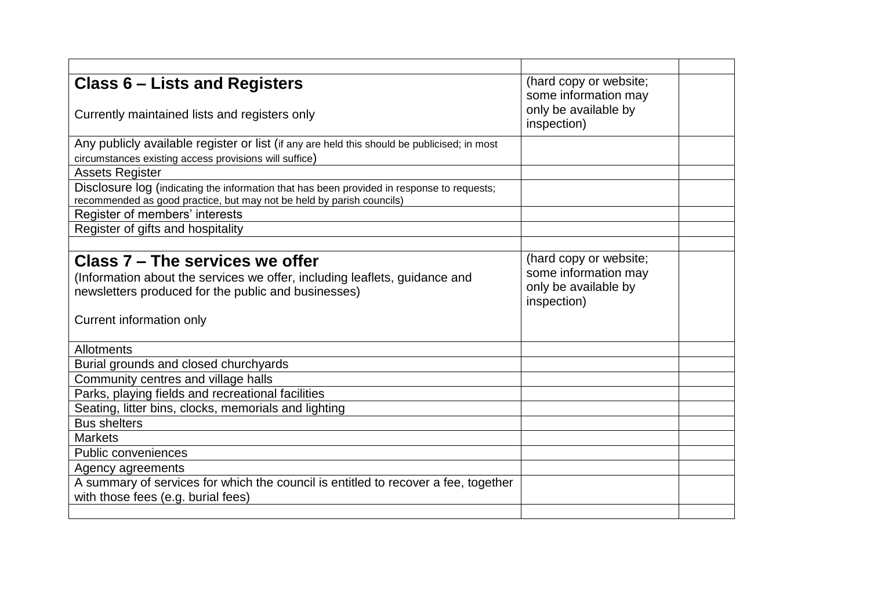| Class 6 – Lists and Registers                                                               | (hard copy or website; |  |
|---------------------------------------------------------------------------------------------|------------------------|--|
|                                                                                             | some information may   |  |
| Currently maintained lists and registers only                                               | only be available by   |  |
|                                                                                             | inspection)            |  |
| Any publicly available register or list (if any are held this should be publicised; in most |                        |  |
| circumstances existing access provisions will suffice)                                      |                        |  |
| <b>Assets Register</b>                                                                      |                        |  |
| Disclosure log (indicating the information that has been provided in response to requests;  |                        |  |
| recommended as good practice, but may not be held by parish councils)                       |                        |  |
| Register of members' interests                                                              |                        |  |
| Register of gifts and hospitality                                                           |                        |  |
|                                                                                             |                        |  |
| Class 7 - The services we offer                                                             | (hard copy or website; |  |
| (Information about the services we offer, including leaflets, guidance and                  | some information may   |  |
| newsletters produced for the public and businesses)                                         | only be available by   |  |
|                                                                                             | inspection)            |  |
| Current information only                                                                    |                        |  |
|                                                                                             |                        |  |
| Allotments                                                                                  |                        |  |
| Burial grounds and closed churchyards                                                       |                        |  |
| Community centres and village halls                                                         |                        |  |
| Parks, playing fields and recreational facilities                                           |                        |  |
| Seating, litter bins, clocks, memorials and lighting                                        |                        |  |
| <b>Bus shelters</b>                                                                         |                        |  |
| <b>Markets</b>                                                                              |                        |  |
| <b>Public conveniences</b>                                                                  |                        |  |
| Agency agreements                                                                           |                        |  |
| A summary of services for which the council is entitled to recover a fee, together          |                        |  |
| with those fees (e.g. burial fees)                                                          |                        |  |
|                                                                                             |                        |  |